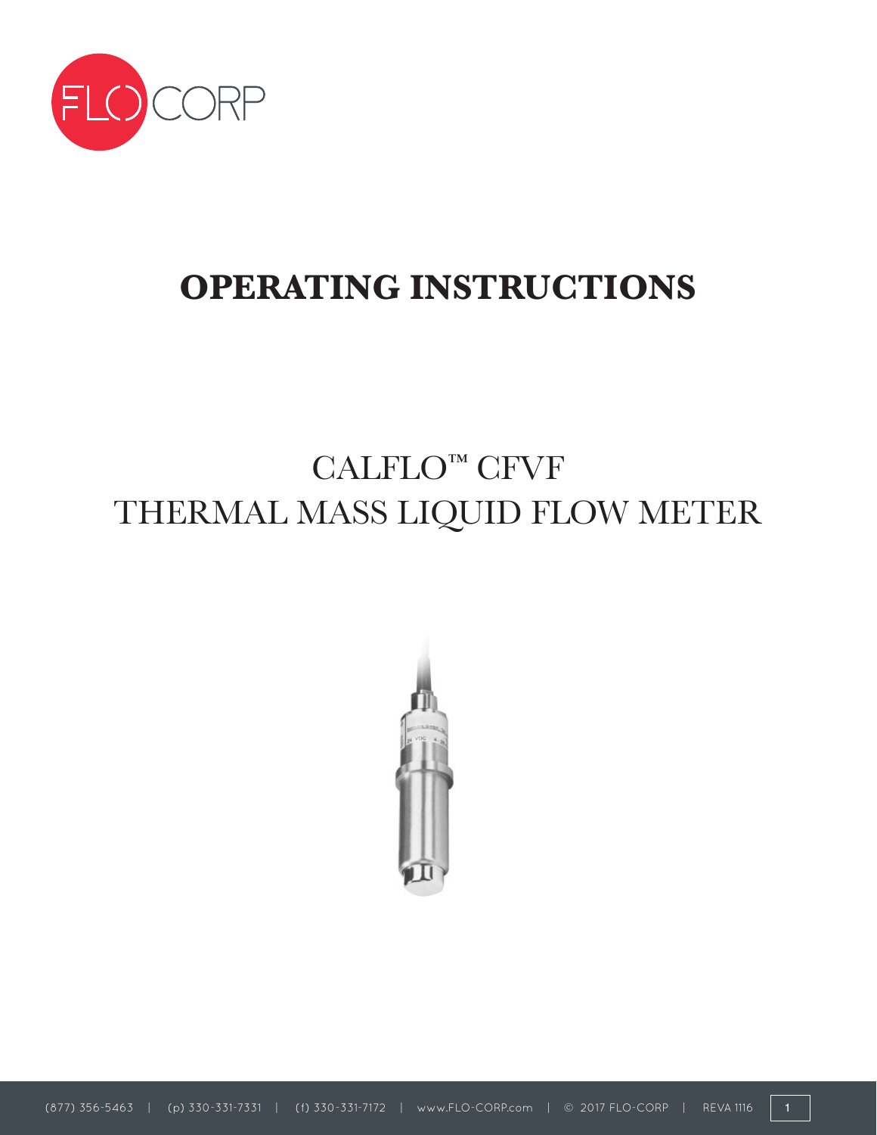

# **OPERATING INSTRUCTIONS**

# CALFLO™ CFVF THERMAL MASS LIQUID FLOW METER

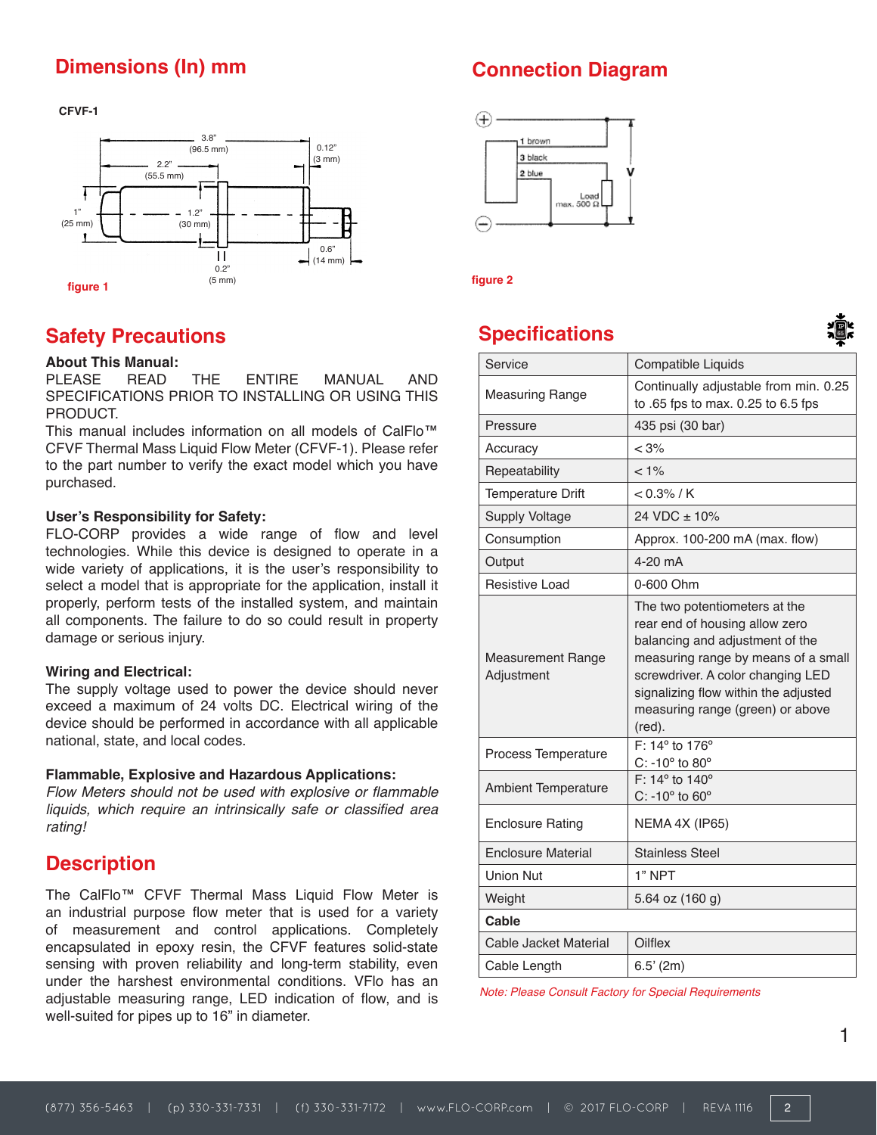## **Dimensions (In) mm**

**CFVF-1**



## **Safety Precautions**

#### **About This Manual:**

PLEASE READ THE ENTIRE MANUAL AND SPECIFICATIONS PRIOR TO INSTALLING OR USING THIS PRODUCT.

This manual includes information on all models of CalFlo™ CFVF Thermal Mass Liquid Flow Meter (CFVF-1). Please refer to the part number to verify the exact model which you have purchased.

#### **User's Responsibility for Safety:**

FLO-CORP provides a wide range of flow and level technologies. While this device is designed to operate in a wide variety of applications, it is the user's responsibility to select a model that is appropriate for the application, install it properly, perform tests of the installed system, and maintain all components. The failure to do so could result in property damage or serious injury.

#### **Wiring and Electrical:**

The supply voltage used to power the device should never exceed a maximum of 24 volts DC. Electrical wiring of the device should be performed in accordance with all applicable national, state, and local codes.

#### **Flammable, Explosive and Hazardous Applications:**

Flow Meters should not be used with explosive or flammable liquids, which require an intrinsically safe or classified area rating!

## **Description**

The CalFlo™ CFVF Thermal Mass Liquid Flow Meter is an industrial purpose flow meter that is used for a variety of measurement and control applications. Completely encapsulated in epoxy resin, the CFVF features solid-state sensing with proven reliability and long-term stability, even under the harshest environmental conditions. VFlo has an adjustable measuring range, LED indication of flow, and is well-suited for pipes up to 16" in diameter.

## **Connection Diagram**



## **Specifications**



| Service                                | Compatible Liquids                                                                                                                                                                                                                                                   |
|----------------------------------------|----------------------------------------------------------------------------------------------------------------------------------------------------------------------------------------------------------------------------------------------------------------------|
| <b>Measuring Range</b>                 | Continually adjustable from min. 0.25<br>to .65 fps to max. 0.25 to 6.5 fps                                                                                                                                                                                          |
| Pressure                               | 435 psi (30 bar)                                                                                                                                                                                                                                                     |
| Accuracy                               | < 3%                                                                                                                                                                                                                                                                 |
| Repeatability                          | $< 1\%$                                                                                                                                                                                                                                                              |
| <b>Temperature Drift</b>               | $< 0.3\%$ / K                                                                                                                                                                                                                                                        |
| <b>Supply Voltage</b>                  | 24 VDC ± 10%                                                                                                                                                                                                                                                         |
| Consumption                            | Approx. 100-200 mA (max. flow)                                                                                                                                                                                                                                       |
| Output                                 | 4-20 mA                                                                                                                                                                                                                                                              |
| Resistive Load                         | 0-600 Ohm                                                                                                                                                                                                                                                            |
| <b>Measurement Range</b><br>Adjustment | The two potentiometers at the<br>rear end of housing allow zero<br>balancing and adjustment of the<br>measuring range by means of a small<br>screwdriver. A color changing LED<br>signalizing flow within the adjusted<br>measuring range (green) or above<br>(red). |
| Process Temperature                    | $F: 14^{\circ}$ to 176°<br>$C: -10^{\circ}$ to $80^{\circ}$                                                                                                                                                                                                          |
| <b>Ambient Temperature</b>             | F: 14 $\degree$ to 140 $\degree$<br>$C: -10^{\circ}$ to $60^{\circ}$                                                                                                                                                                                                 |
| <b>Enclosure Rating</b>                | NEMA 4X (IP65)                                                                                                                                                                                                                                                       |
| <b>Enclosure Material</b>              | <b>Stainless Steel</b>                                                                                                                                                                                                                                               |
| <b>Union Nut</b>                       | 1" NPT                                                                                                                                                                                                                                                               |
| Weight                                 | 5.64 oz (160 g)                                                                                                                                                                                                                                                      |
| Cable                                  |                                                                                                                                                                                                                                                                      |
| Cable Jacket Material                  | Oilflex                                                                                                                                                                                                                                                              |
| Cable Length                           | 6.5' (2m)                                                                                                                                                                                                                                                            |

Note: Please Consult Factory for Special Requirements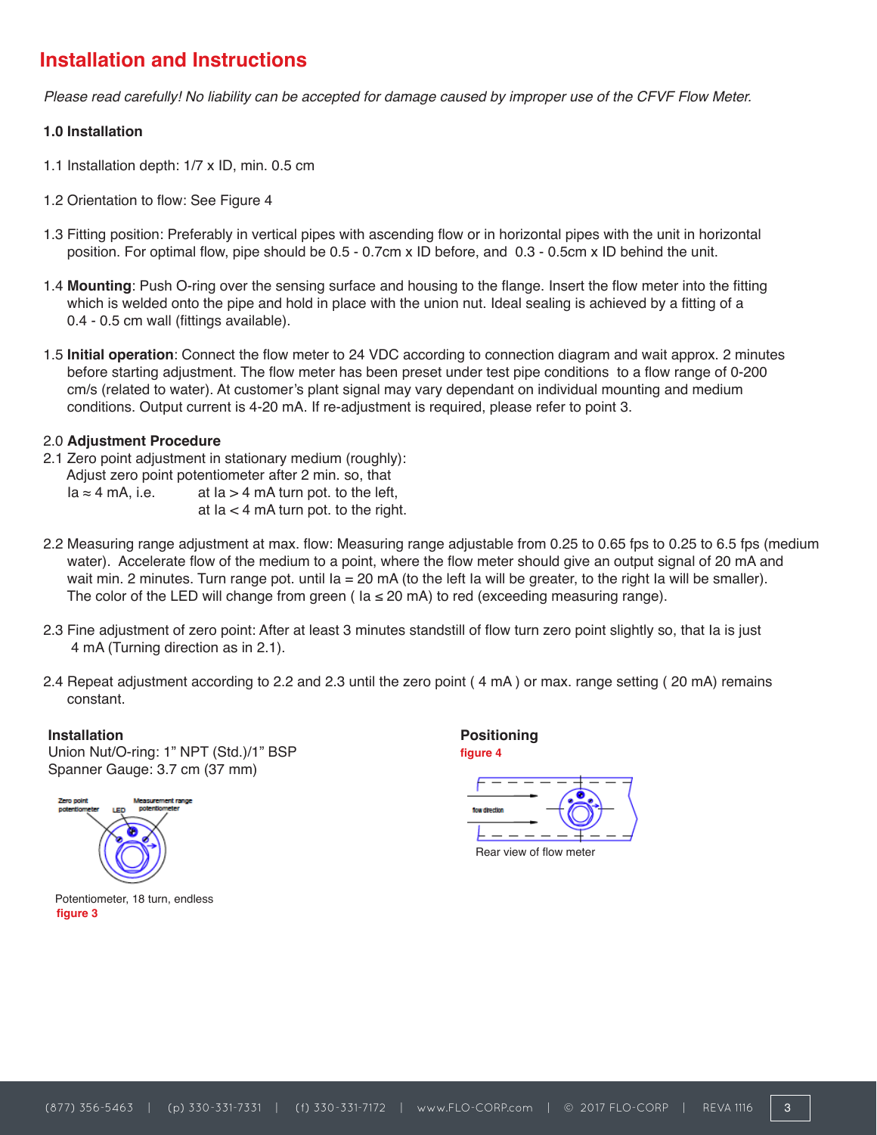# **Installation and Instructions**

Please read carefully! No liability can be accepted for damage caused by improper use of the CFVF Flow Meter.

#### **1.0 Installation**

- 1.1 Installation depth: 1/7 x ID, min. 0.5 cm
- 1.2 Orientation to flow: See Figure 4
- 1.3 Fitting position: Preferably in vertical pipes with ascending flow or in horizontal pipes with the unit in horizontal position. For optimal flow, pipe should be 0.5 - 0.7cm x ID before, and 0.3 - 0.5cm x ID behind the unit.
- 1.4 **Mounting**: Push O-ring over the sensing surface and housing to the flange. Insert the flow meter into the fitting which is welded onto the pipe and hold in place with the union nut. Ideal sealing is achieved by a fitting of a 0.4 - 0.5 cm wall (fittings available).
- 1.5 **Initial operation**: Connect the flow meter to 24 VDC according to connection diagram and wait approx. 2 minutes before starting adjustment. The flow meter has been preset under test pipe conditions to a flow range of 0-200 cm/s (related to water). At customer's plant signal may vary dependant on individual mounting and medium conditions. Output current is 4-20 mA. If re-adjustment is required, please refer to point 3.

### 2.0 **Adjustment Procedure**

- 2.1 Zero point adjustment in stationary medium (roughly): Adjust zero point potentiometer after 2 min. so, that  $a \approx 4$  mA iurn pot. to the left at  $Ia > 4$  mA turn pot. to the left, at  $Ia < 4$  mA turn pot. to the right.
- 2.2 Measuring range adjustment at max. flow: Measuring range adjustable from 0.25 to 0.65 fps to 0.25 to 6.5 fps (medium water). Accelerate flow of the medium to a point, where the flow meter should give an output signal of 20 mA and wait min. 2 minutes. Turn range pot. until Ia = 20 mA (to the left Ia will be greater, to the right Ia will be smaller). The color of the LED will change from green ( $l$ a  $\leq$  20 mA) to red (exceeding measuring range).
- 2.3 Fine adjustment of zero point: After at least 3 minutes standstill of flow turn zero point slightly so, that Ιa is just 4 mA (Turning direction as in 2.1).
- 2.4 Repeat adjustment according to 2.2 and 2.3 until the zero point ( 4 mA ) or max. range setting ( 20 mA) remains constant.

**Installation** Union Nut/O-ring: 1" NPT (Std.)/1" BSP Spanner Gauge: 3.7 cm (37 mm)



Potentiometer, 18 turn, endless **figure 3**

**Positioning figure 4**

Rear view of flow meter